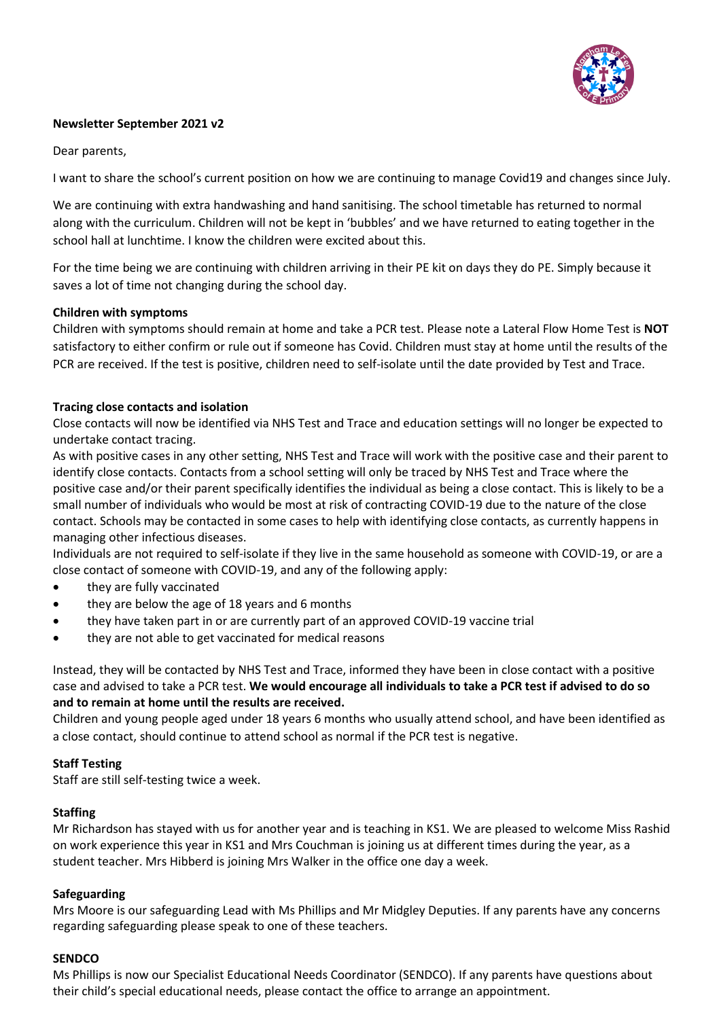

# **Newsletter September 2021 v2**

Dear parents,

I want to share the school's current position on how we are continuing to manage Covid19 and changes since July.

We are continuing with extra handwashing and hand sanitising. The school timetable has returned to normal along with the curriculum. Children will not be kept in 'bubbles' and we have returned to eating together in the school hall at lunchtime. I know the children were excited about this.

For the time being we are continuing with children arriving in their PE kit on days they do PE. Simply because it saves a lot of time not changing during the school day.

#### **Children with symptoms**

Children with symptoms should remain at home and take a PCR test. Please note a Lateral Flow Home Test is **NOT** satisfactory to either confirm or rule out if someone has Covid. Children must stay at home until the results of the PCR are received. If the test is positive, children need to self-isolate until the date provided by Test and Trace.

## **Tracing close contacts and isolation**

Close contacts will now be identified via NHS Test and Trace and education settings will no longer be expected to undertake contact tracing.

As with positive cases in any other setting, NHS Test and Trace will work with the positive case and their parent to identify close contacts. Contacts from a school setting will only be traced by NHS Test and Trace where the positive case and/or their parent specifically identifies the individual as being a close contact. This is likely to be a small number of individuals who would be most at risk of contracting COVID-19 due to the nature of the close contact. Schools may be contacted in some cases to help with identifying close contacts, as currently happens in managing other infectious diseases.

Individuals are not required to self-isolate if they live in the same household as someone with COVID-19, or are a close contact of someone with COVID-19, and any of the following apply:

- they are fully vaccinated
- they are below the age of 18 years and 6 months
- they have taken part in or are currently part of an approved COVID-19 vaccine trial
- they are not able to get vaccinated for medical reasons

Instead, they will be contacted by NHS Test and Trace, informed they have been in close contact with a positive case and advised to take a PCR test. **We would encourage all individuals to take a PCR test if advised to do so and to remain at home until the results are received.** 

Children and young people aged under 18 years 6 months who usually attend school, and have been identified as a close contact, should continue to attend school as normal if the PCR test is negative.

#### **Staff Testing**

Staff are still self-testing twice a week.

#### **Staffing**

Mr Richardson has stayed with us for another year and is teaching in KS1. We are pleased to welcome Miss Rashid on work experience this year in KS1 and Mrs Couchman is joining us at different times during the year, as a student teacher. Mrs Hibberd is joining Mrs Walker in the office one day a week.

#### **Safeguarding**

Mrs Moore is our safeguarding Lead with Ms Phillips and Mr Midgley Deputies. If any parents have any concerns regarding safeguarding please speak to one of these teachers.

#### **SENDCO**

Ms Phillips is now our Specialist Educational Needs Coordinator (SENDCO). If any parents have questions about their child's special educational needs, please contact the office to arrange an appointment.